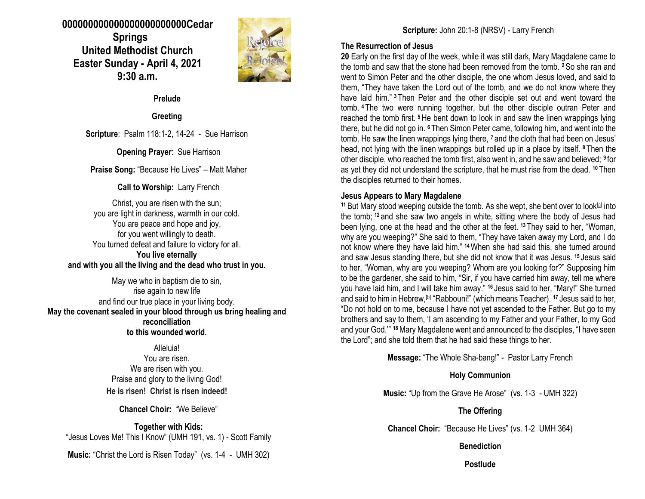### **000000000000000000000000Cedar Springs United Methodist Church Easter Sunday - April 4, 2021 9:30 a.m.**



**Prelude**

**Greeting**

**Scripture**: Psalm 118:1-2, 14-24 - Sue Harrison

**Opening Prayer**: Sue Harrison

**Praise Song:** "Because He Lives" – Matt Maher

### **Call to Worship:** Larry French

Christ, you are risen with the sun; you are light in darkness, warmth in our cold. You are peace and hope and joy, for you went willingly to death. You turned defeat and failure to victory for all. **You live eternally and with you all the living and the dead who trust in you.**

May we who in baptism die to sin, rise again to new life and find our true place in your living body. **May the covenant sealed in your blood through us bring healing and reconciliation to this wounded world.**

> Alleluia! You are risen. We are risen with you. Praise and glory to the living God! **He is risen! Christ is risen indeed!**

> > **Chancel Choir:** "We Believe"

**Together with Kids:** "Jesus Loves Me! This I Know" (UMH 191, vs. 1) - Scott Family

**Music:** "Christ the Lord is Risen Today" (vs. 1-4 - UMH 302)

### **The Resurrection of Jesus**

**20** Early on the first day of the week, while it was still dark, Mary Magdalene came to the tomb and saw that the stone had been removed from the tomb. **<sup>2</sup>**So she ran and went to Simon Peter and the other disciple, the one whom Jesus loved, and said to them, "They have taken the Lord out of the tomb, and we do not know where they have laid him." **<sup>3</sup>** Then Peter and the other disciple set out and went toward the tomb. **<sup>4</sup>** The two were running together, but the other disciple outran Peter and reached the tomb first. **<sup>5</sup>**He bent down to look in and saw the linen wrappings lying there, but he did not go in. **<sup>6</sup>** Then Simon Peter came, following him, and went into the tomb. He saw the linen wrappings lying there, **<sup>7</sup>** and the cloth that had been on Jesus' head, not lying with the linen wrappings but rolled up in a place by itself. **<sup>8</sup>** Then the other disciple, who reached the tomb first, also went in, and he saw and believed; **<sup>9</sup>** for as yet they did not understand the scripture, that he must rise from the dead. **<sup>10</sup>** Then the disciples returned to their homes.

### **Jesus Appears to Mary Magdalene**

<sup>11</sup> But Mary stood weeping outside the tomb. As she wept, she bent over to look<sup>[\[a\]](https://www.biblegateway.com/passage/?search=John+20%3A1-18&version=NRSV#fen-NRSV-26868a)</sup> into the tomb; **<sup>12</sup>** and she saw two angels in white, sitting where the body of Jesus had been lying, one at the head and the other at the feet. **<sup>13</sup>** They said to her, "Woman, why are you weeping?" She said to them, "They have taken away my Lord, and I do not know where they have laid him." **<sup>14</sup>**When she had said this, she turned around and saw Jesus standing there, but she did not know that it was Jesus. **<sup>15</sup>** Jesus said to her, "Woman, why are you weeping? Whom are you looking for?" Supposing him to be the gardener, she said to him, "Sir, if you have carried him away, tell me where you have laid him, and I will take him away." **<sup>16</sup>** Jesus said to her, "Mary!" She turned and said to him in Hebrew, [\[b\]](https://www.biblegateway.com/passage/?search=John+20%3A1-18&version=NRSV#fen-NRSV-26873b) "Rabbouni!" (which means Teacher). <sup>17</sup> Jesus said to her, "Do not hold on to me, because I have not yet ascended to the Father. But go to my brothers and say to them, 'I am ascending to my Father and your Father, to my God and your God.'" **<sup>18</sup>**Mary Magdalene went and announced to the disciples, "I have seen the Lord"; and she told them that he had said these things to her.

**Message:** "The Whole Sha-bang!" - Pastor Larry French

**Holy Communion**

**Music:** "Up from the Grave He Arose" (vs. 1-3 - UMH 322)

**The Offering**

**Chancel Choir:** "Because He Lives" (vs. 1-2 UMH 364)

### **Benediction**

**Postlude**